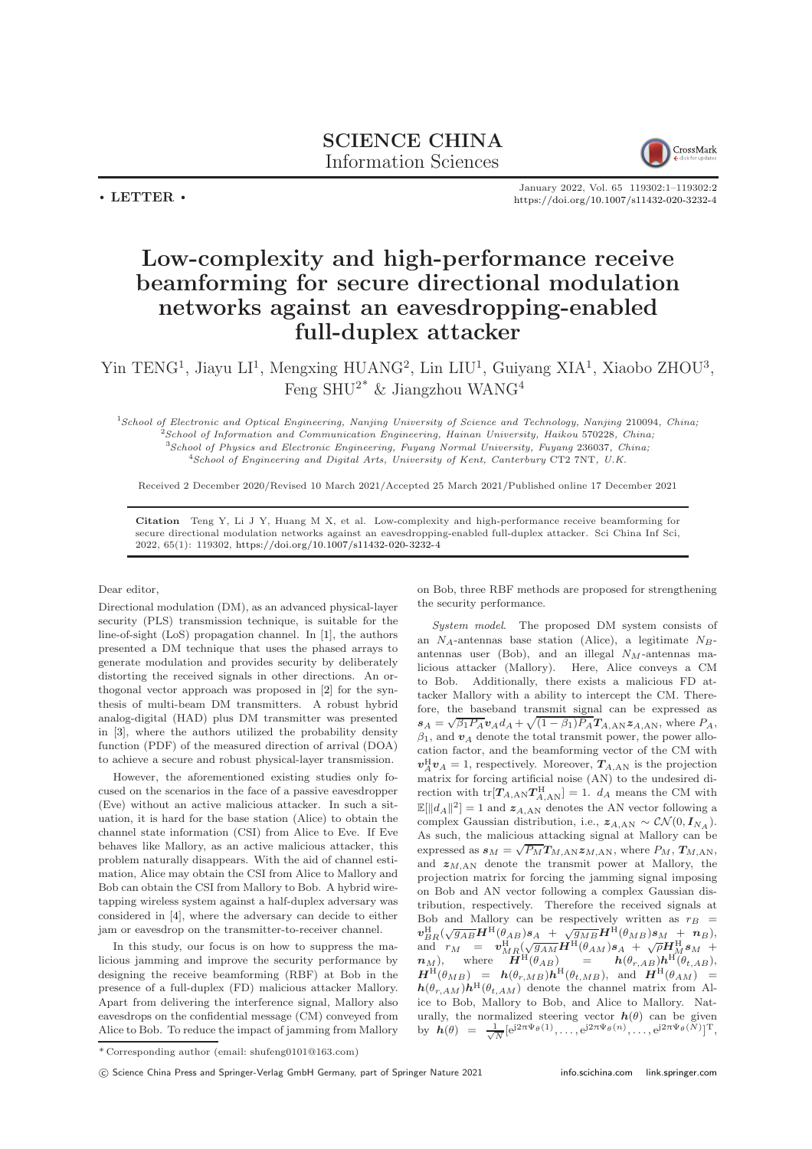SCIENCE CHINA Information Sciences



January 2022, Vol. 65 119302:1–119302[:2](#page-1-0) <https://doi.org/10.1007/s11432-020-3232-4>

## Low-complexity and high-performance receive beamforming for secure directional modulation networks against an eavesdropping-enabled full-duplex attacker

Yin TENG<sup>1</sup>, Jiayu LI<sup>1</sup>, Mengxing HUANG<sup>2</sup>, Lin LIU<sup>1</sup>, Guiyang XIA<sup>1</sup>, Xiaobo ZHOU<sup>3</sup>, Feng SHU<sup>2\*</sup> & Jiangzhou WANG<sup>4</sup>

School of Electronic and Optical Engineering, Nanjing University of Science and Technology, Nanjing 210094, China; School of Information and Communication Engineering, Hainan University, Haikou 570228, China; School of Physics and Electronic Engineering, Fuyang Normal University, Fuyang 236037, China;  $^{4}$ School of Engineering and Digital Arts, University of Kent, Canterbury CT2 7NT, U.K.

Received 2 December 2020/Revised 10 March 2021/Accepted 25 March 2021/Published online 17 December 2021

Citation Teng Y, Li J Y, Huang M X, et al. Low-complexity and high-performance receive beamforming for secure directional modulation networks against an eavesdropping-enabled full-duplex attacker. Sci China Inf Sci, 2022, 65(1): 119302, <https://doi.org/10.1007/s11432-020-3232-4>

## Dear editor,

 $\cdot$  LETTER  $\cdot$ 

Directional modulation (DM), as an advanced physical-layer security (PLS) transmission technique, is suitable for the line-of-sight (LoS) propagation channel. In [\[1\]](#page-1-1), the authors presented a DM technique that uses the phased arrays to generate modulation and provides security by deliberately distorting the received signals in other directions. An orthogonal vector approach was proposed in [\[2\]](#page-1-2) for the synthesis of multi-beam DM transmitters. A robust hybrid analog-digital (HAD) plus DM transmitter was presented in [\[3\]](#page-1-3), where the authors utilized the probability density function (PDF) of the measured direction of arrival (DOA) to achieve a secure and robust physical-layer transmission.

However, the aforementioned existing studies only focused on the scenarios in the face of a passive eavesdropper (Eve) without an active malicious attacker. In such a situation, it is hard for the base station (Alice) to obtain the channel state information (CSI) from Alice to Eve. If Eve behaves like Mallory, as an active malicious attacker, this problem naturally disappears. With the aid of channel estimation, Alice may obtain the CSI from Alice to Mallory and Bob can obtain the CSI from Mallory to Bob. A hybrid wiretapping wireless system against a half-duplex adversary was considered in [\[4\]](#page-1-4), where the adversary can decide to either jam or eavesdrop on the transmitter-to-receiver channel.

In this study, our focus is on how to suppress the malicious jamming and improve the security performance by designing the receive beamforming (RBF) at Bob in the presence of a full-duplex (FD) malicious attacker Mallory. Apart from delivering the interference signal, Mallory also eavesdrops on the confidential message (CM) conveyed from Alice to Bob. To reduce the impact of jamming from Mallory on Bob, three RBF methods are proposed for strengthening the security performance.

System model. The proposed DM system consists of an  $N_A$ -antennas base station (Alice), a legitimate  $N_B$ antennas user (Bob), and an illegal  $N_M$ -antennas malicious attacker (Mallory). Here, Alice conveys a CM to Bob. Additionally, there exists a malicious FD attacker Mallory with a ability to intercept the CM. Therefore, the baseband transmit signal can be expressed as  $s_A = \sqrt{\beta_1 P_A} v_A d_A + \sqrt{(1 - \beta_1) P_A} T_{A,AN} z_{A,AN}$ , where  $P_A$ ,  $\beta_1$ , and  $v_A$  denote the total transmit power, the power allocation factor, and the beamforming vector of the CM with  $v_A^{\rm H} v_A = 1$ , respectively. Moreover,  $T_{A, \rm AN}$  is the projection matrix for forcing artificial noise (AN) to the undesired direction with  $tr[T_{A,AN}T_{A,AN}^H]=1$ .  $d_A$  means the CM with  $\mathbb{E}[\Vert d_A \Vert^2] = 1$  and  $z_{A,AN}$  denotes the AN vector following a complex Gaussian distribution, i.e.,  $z_{A,AN} \sim \mathcal{CN}(0, I_{N_A})$ . As such, the malicious attacking signal at Mallory can be expressed as  $s_M = \sqrt{P_M} T_{M,AN} z_{M,AN}$ , where  $P_M$ ,  $T_{M,AN}$ , and  $z_{M,AN}$  denote the transmit power at Mallory, the projection matrix for forcing the jamming signal imposing on Bob and AN vector following a complex Gaussian distribution, respectively. Therefore the received signals at Bob and Mallory can be respectively written as  $r_B$  =  $\bm{v}_{BR}^{\rm H}(\sqrt{g_{AB}}\bm{H}^{\rm H}(\theta_{AB})\bm{s}_{A} ~+~ \sqrt{g_{MB}}\bm{H}^{\rm H}(\theta_{MB})\bm{s}_{M} ~+~ \bm{n}_{B}),$ and  $r_M = v_{MR}^{\rm H}(\sqrt{g_{AM}}\vec{H}^{\rm H}(\theta_{AM})s_A + \sqrt{\rho}\vec{H}_{,M}^{\rm H}s_M +$  $n_M$ ), where  $\overline{H}^{\rm H}(\theta_{AB})$  =  $h(\theta_{r,AB})h^{\rm H}(\theta_{t,AB}),$  $\boldsymbol{H}^{\rm H}(\theta_{MB}) = \boldsymbol{h}(\theta_{r,MB}) \boldsymbol{h}^{\rm H}(\theta_{t,MB}), \text{ and } \boldsymbol{H}^{\rm H}(\theta_{AM}) =$  $h(\theta_{r,AM})h^{\text{H}}(\theta_{t,AM})$  denote the channel matrix from Alice to Bob, Mallory to Bob, and Alice to Mallory. Naturally, the normalized steering vector  $h(\theta)$  can be given by  $h(\theta) = \frac{1}{\sqrt{N}} [e^{j2\pi \Psi_{\theta}(1)}, \dots, e^{j2\pi \Psi_{\theta}(n)}, \dots, e^{j2\pi \Psi_{\theta}(N)}]^{\mathrm{T}},$ 

<sup>\*</sup> Corresponding author (email: shufeng0101@163.com)

c Science China Press and Springer-Verlag GmbH Germany, part of Springer Nature 2021 <info.scichina.com><link.springer.com>